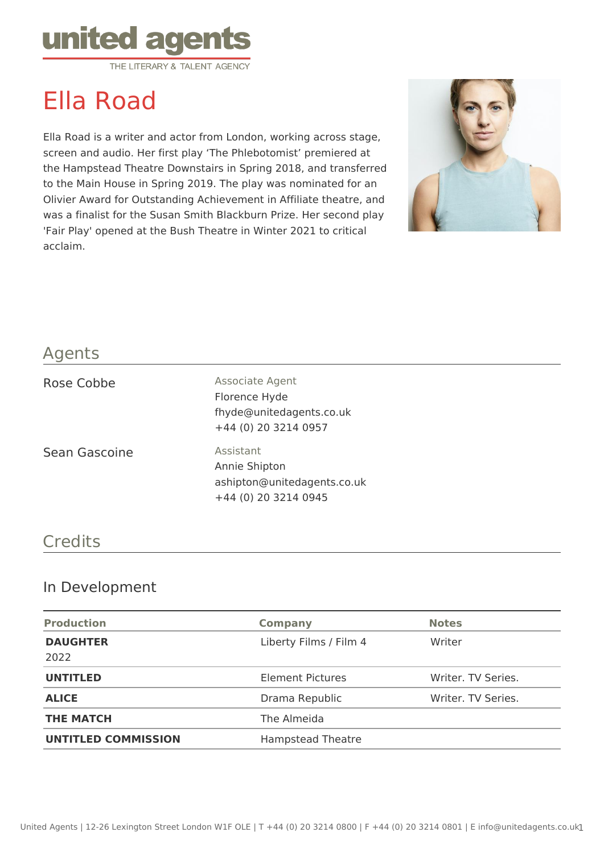

# Ella Road

Ella Road is a writer and actor from London, working across stage, screen and audio. Her first play 'The Phlebotomist' premiered at the Hampstead Theatre Downstairs in Spring 2018, and transferred to the Main House in Spring 2019. The play was nominated for an Olivier Award for Outstanding Achievement in Affiliate theatre, and was a finalist for the Susan Smith Blackburn Prize. Her second play 'Fair Play' opened at the Bush Theatre in Winter 2021 to critical acclaim.



#### Agents

| Rose Cobbe    | Associate Agent<br>Florence Hyde<br>fhyde@unitedagents.co.uk<br>+44 (0) 20 3214 0957 |
|---------------|--------------------------------------------------------------------------------------|
| Sean Gascoine | Assistant<br>Annie Shipton<br>ashipton@unitedagents.co.uk                            |

#### **Credits**

## In Development

| <b>Production</b>          | <b>Company</b>           | <b>Notes</b>       |
|----------------------------|--------------------------|--------------------|
| <b>DAUGHTER</b><br>2022    | Liberty Films / Film 4   | Writer             |
| <b>UNTITLED</b>            | <b>Element Pictures</b>  | Writer. TV Series. |
| <b>ALICE</b>               | Drama Republic           | Writer. TV Series. |
| <b>THE MATCH</b>           | The Almeida              |                    |
| <b>UNTITLED COMMISSION</b> | <b>Hampstead Theatre</b> |                    |

+44 (0) 20 3214 0945